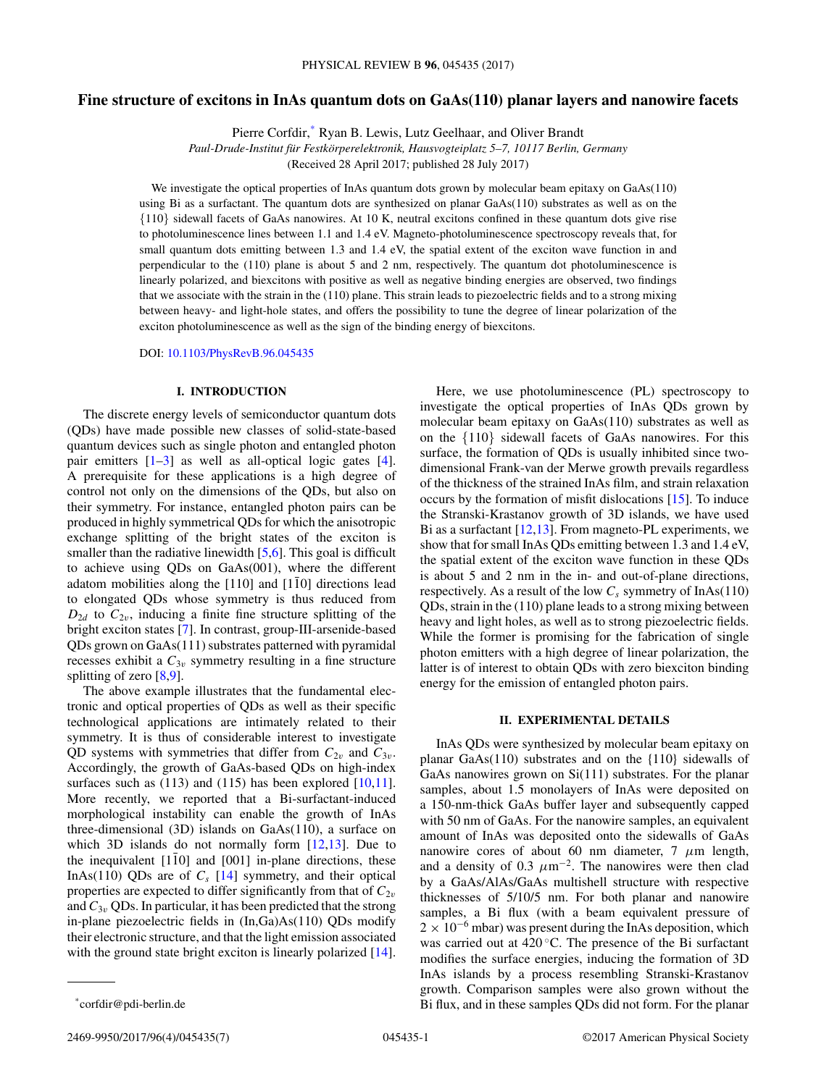# **Fine structure of excitons in InAs quantum dots on GaAs(110) planar layers and nanowire facets**

Pierre Corfdir,\* Ryan B. Lewis, Lutz Geelhaar, and Oliver Brandt

*Paul-Drude-Institut für Festkörperelektronik, Hausvogteiplatz 5–7, 10117 Berlin, Germany*

(Received 28 April 2017; published 28 July 2017)

We investigate the optical properties of InAs quantum dots grown by molecular beam epitaxy on GaAs(110) using Bi as a surfactant. The quantum dots are synthesized on planar GaAs(110) substrates as well as on the {110} sidewall facets of GaAs nanowires. At 10 K, neutral excitons confined in these quantum dots give rise to photoluminescence lines between 1.1 and 1.4 eV. Magneto-photoluminescence spectroscopy reveals that, for small quantum dots emitting between 1.3 and 1.4 eV, the spatial extent of the exciton wave function in and perpendicular to the (110) plane is about 5 and 2 nm, respectively. The quantum dot photoluminescence is linearly polarized, and biexcitons with positive as well as negative binding energies are observed, two findings that we associate with the strain in the (110) plane. This strain leads to piezoelectric fields and to a strong mixing between heavy- and light-hole states, and offers the possibility to tune the degree of linear polarization of the exciton photoluminescence as well as the sign of the binding energy of biexcitons.

DOI: [10.1103/PhysRevB.96.045435](https://doi.org/10.1103/PhysRevB.96.045435)

### **I. INTRODUCTION**

The discrete energy levels of semiconductor quantum dots (QDs) have made possible new classes of solid-state-based quantum devices such as single photon and entangled photon pair emitters [\[1–3\]](#page-5-0) as well as all-optical logic gates [\[4\]](#page-5-0). A prerequisite for these applications is a high degree of control not only on the dimensions of the QDs, but also on their symmetry. For instance, entangled photon pairs can be produced in highly symmetrical QDs for which the anisotropic exchange splitting of the bright states of the exciton is smaller than the radiative linewidth [\[5,6\]](#page-5-0). This goal is difficult to achieve using QDs on GaAs(001), where the different adatom mobilities along the  $[110]$  and  $[1\bar{1}0]$  directions lead to elongated QDs whose symmetry is thus reduced from  $D_{2d}$  to  $C_{2v}$ , inducing a finite fine structure splitting of the bright exciton states [\[7\]](#page-5-0). In contrast, group-III-arsenide-based QDs grown on GaAs(111) substrates patterned with pyramidal recesses exhibit a  $C_{3v}$  symmetry resulting in a fine structure splitting of zero [\[8,9\]](#page-5-0).

The above example illustrates that the fundamental electronic and optical properties of QDs as well as their specific technological applications are intimately related to their symmetry. It is thus of considerable interest to investigate QD systems with symmetries that differ from  $C_{2v}$  and  $C_{3v}$ . Accordingly, the growth of GaAs-based QDs on high-index surfaces such as  $(113)$  and  $(115)$  has been explored  $[10,11]$ . More recently, we reported that a Bi-surfactant-induced morphological instability can enable the growth of InAs three-dimensional (3D) islands on GaAs(110), a surface on which 3D islands do not normally form [\[12,13\]](#page-5-0). Due to the inequivalent  $[1\bar{1}0]$  and  $[001]$  in-plane directions, these InAs(110) QDs are of  $C_s$  [\[14\]](#page-5-0) symmetry, and their optical properties are expected to differ significantly from that of  $C_{2v}$ and  $C_{3v}$  QDs. In particular, it has been predicted that the strong in-plane piezoelectric fields in (In,Ga)As(110) QDs modify their electronic structure, and that the light emission associated with the ground state bright exciton is linearly polarized [\[14\]](#page-5-0).

Here, we use photoluminescence (PL) spectroscopy to investigate the optical properties of InAs QDs grown by molecular beam epitaxy on GaAs(110) substrates as well as on the {110} sidewall facets of GaAs nanowires. For this surface, the formation of QDs is usually inhibited since twodimensional Frank-van der Merwe growth prevails regardless of the thickness of the strained InAs film, and strain relaxation occurs by the formation of misfit dislocations [\[15\]](#page-5-0). To induce the Stranski-Krastanov growth of 3D islands, we have used Bi as a surfactant  $[12,13]$ . From magneto-PL experiments, we show that for small InAs QDs emitting between 1.3 and 1.4 eV, the spatial extent of the exciton wave function in these QDs is about 5 and 2 nm in the in- and out-of-plane directions, respectively. As a result of the low  $C_s$  symmetry of InAs(110) QDs, strain in the (110) plane leads to a strong mixing between heavy and light holes, as well as to strong piezoelectric fields. While the former is promising for the fabrication of single photon emitters with a high degree of linear polarization, the latter is of interest to obtain QDs with zero biexciton binding energy for the emission of entangled photon pairs.

## **II. EXPERIMENTAL DETAILS**

InAs QDs were synthesized by molecular beam epitaxy on planar GaAs(110) substrates and on the {110} sidewalls of GaAs nanowires grown on Si(111) substrates. For the planar samples, about 1.5 monolayers of InAs were deposited on a 150-nm-thick GaAs buffer layer and subsequently capped with 50 nm of GaAs. For the nanowire samples, an equivalent amount of InAs was deposited onto the sidewalls of GaAs nanowire cores of about 60 nm diameter, 7 *μ*m length, and a density of 0.3  $\mu$ m<sup>-2</sup>. The nanowires were then clad by a GaAs/AlAs/GaAs multishell structure with respective thicknesses of 5/10/5 nm. For both planar and nanowire samples, a Bi flux (with a beam equivalent pressure of  $2 \times 10^{-6}$  mbar) was present during the InAs deposition, which was carried out at 420 °C. The presence of the Bi surfactant modifies the surface energies, inducing the formation of 3D InAs islands by a process resembling Stranski-Krastanov growth. Comparison samples were also grown without the Bi flux, and in these samples QDs did not form. For the planar

<sup>\*</sup>corfdir@pdi-berlin.de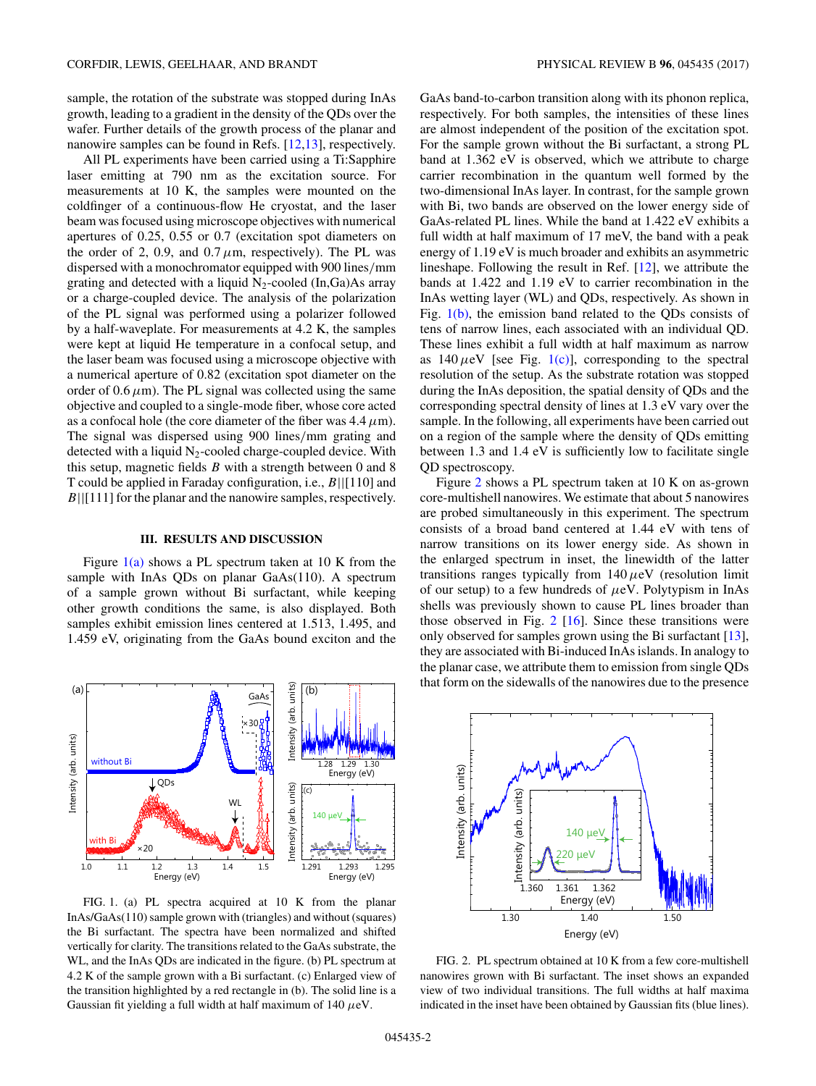sample, the rotation of the substrate was stopped during InAs growth, leading to a gradient in the density of the QDs over the wafer. Further details of the growth process of the planar and nanowire samples can be found in Refs. [\[12,13\]](#page-5-0), respectively.

All PL experiments have been carried using a Ti:Sapphire laser emitting at 790 nm as the excitation source. For measurements at 10 K, the samples were mounted on the coldfinger of a continuous-flow He cryostat, and the laser beam was focused using microscope objectives with numerical apertures of 0.25, 0.55 or 0.7 (excitation spot diameters on the order of 2, 0.9, and  $0.7 \mu m$ , respectively). The PL was dispersed with a monochromator equipped with 900 lines*/*mm grating and detected with a liquid  $N_2$ -cooled (In,Ga)As array or a charge-coupled device. The analysis of the polarization of the PL signal was performed using a polarizer followed by a half-waveplate. For measurements at 4.2 K, the samples were kept at liquid He temperature in a confocal setup, and the laser beam was focused using a microscope objective with a numerical aperture of 0.82 (excitation spot diameter on the order of  $0.6 \mu$ m). The PL signal was collected using the same objective and coupled to a single-mode fiber, whose core acted as a confocal hole (the core diameter of the fiber was  $4.4 \mu m$ ). The signal was dispersed using 900 lines*/*mm grating and detected with a liquid  $N_2$ -cooled charge-coupled device. With this setup, magnetic fields *B* with a strength between 0 and 8 T could be applied in Faraday configuration, i.e., *B*||[110] and *B*||[111] for the planar and the nanowire samples, respectively.

#### **III. RESULTS AND DISCUSSION**

Figure  $1(a)$  shows a PL spectrum taken at 10 K from the sample with InAs QDs on planar GaAs(110). A spectrum of a sample grown without Bi surfactant, while keeping other growth conditions the same, is also displayed. Both samples exhibit emission lines centered at 1.513, 1.495, and 1.459 eV, originating from the GaAs bound exciton and the



FIG. 1. (a) PL spectra acquired at 10 K from the planar InAs/GaAs(110) sample grown with (triangles) and without (squares) the Bi surfactant. The spectra have been normalized and shifted vertically for clarity. The transitions related to the GaAs substrate, the WL, and the InAs QDs are indicated in the figure. (b) PL spectrum at 4.2 K of the sample grown with a Bi surfactant. (c) Enlarged view of the transition highlighted by a red rectangle in (b). The solid line is a Gaussian fit yielding a full width at half maximum of 140 *μ*eV.

GaAs band-to-carbon transition along with its phonon replica, respectively. For both samples, the intensities of these lines are almost independent of the position of the excitation spot. For the sample grown without the Bi surfactant, a strong PL band at 1.362 eV is observed, which we attribute to charge carrier recombination in the quantum well formed by the two-dimensional InAs layer. In contrast, for the sample grown with Bi, two bands are observed on the lower energy side of GaAs-related PL lines. While the band at 1.422 eV exhibits a full width at half maximum of 17 meV, the band with a peak energy of 1.19 eV is much broader and exhibits an asymmetric lineshape. Following the result in Ref. [\[12\]](#page-5-0), we attribute the bands at 1.422 and 1.19 eV to carrier recombination in the InAs wetting layer (WL) and QDs, respectively. As shown in Fig. 1(b), the emission band related to the QDs consists of tens of narrow lines, each associated with an individual QD. These lines exhibit a full width at half maximum as narrow as  $140 \mu$ eV [see Fig. 1(c)], corresponding to the spectral resolution of the setup. As the substrate rotation was stopped during the InAs deposition, the spatial density of QDs and the corresponding spectral density of lines at 1.3 eV vary over the sample. In the following, all experiments have been carried out on a region of the sample where the density of QDs emitting between 1.3 and 1.4 eV is sufficiently low to facilitate single QD spectroscopy.

Figure 2 shows a PL spectrum taken at 10 K on as-grown core-multishell nanowires. We estimate that about 5 nanowires are probed simultaneously in this experiment. The spectrum consists of a broad band centered at 1.44 eV with tens of narrow transitions on its lower energy side. As shown in the enlarged spectrum in inset, the linewidth of the latter transitions ranges typically from 140*μ*eV (resolution limit of our setup) to a few hundreds of *μ*eV. Polytypism in InAs shells was previously shown to cause PL lines broader than those observed in Fig. 2 [\[16\]](#page-5-0). Since these transitions were only observed for samples grown using the Bi surfactant [\[13\]](#page-5-0), they are associated with Bi-induced InAs islands. In analogy to the planar case, we attribute them to emission from single QDs that form on the sidewalls of the nanowires due to the presence



FIG. 2. PL spectrum obtained at 10 K from a few core-multishell nanowires grown with Bi surfactant. The inset shows an expanded view of two individual transitions. The full widths at half maxima indicated in the inset have been obtained by Gaussian fits (blue lines).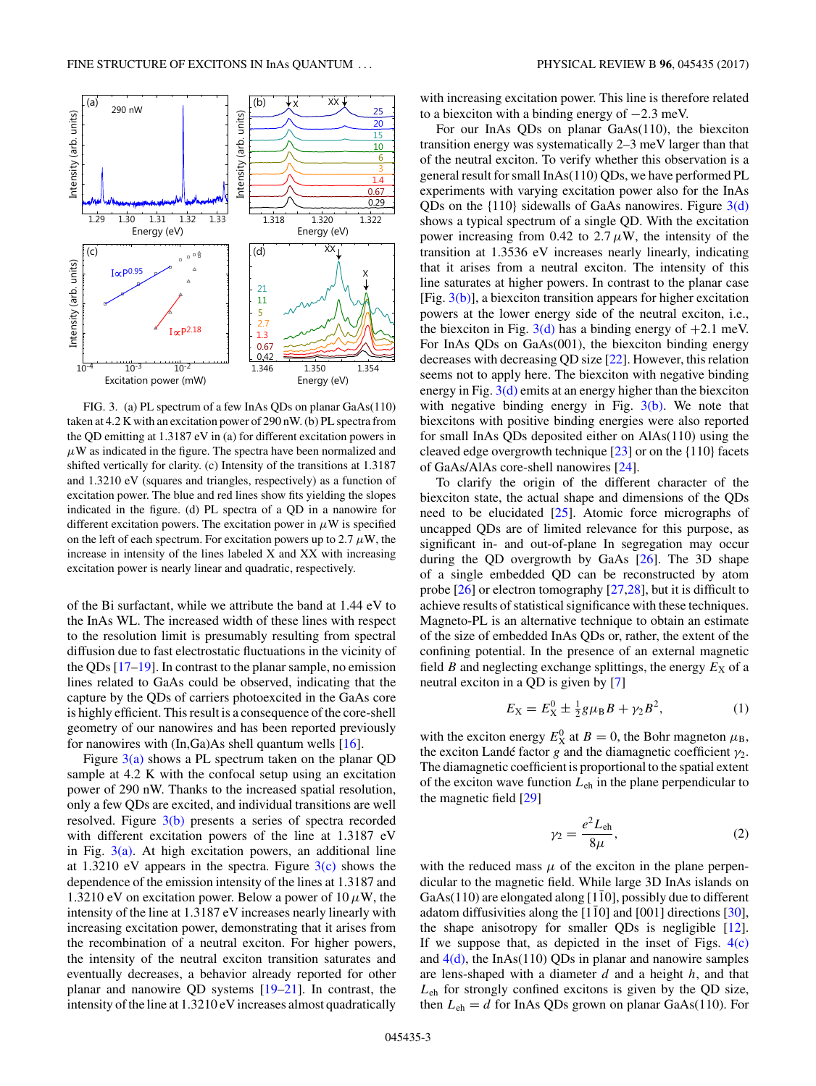<span id="page-2-0"></span>

FIG. 3. (a) PL spectrum of a few InAs QDs on planar GaAs(110) taken at 4.2 K with an excitation power of 290 nW. (b) PL spectra from the QD emitting at 1.3187 eV in (a) for different excitation powers in  $\mu$ W as indicated in the figure. The spectra have been normalized and shifted vertically for clarity. (c) Intensity of the transitions at 1.3187 and 1.3210 eV (squares and triangles, respectively) as a function of excitation power. The blue and red lines show fits yielding the slopes indicated in the figure. (d) PL spectra of a QD in a nanowire for different excitation powers. The excitation power in  $\mu$ W is specified on the left of each spectrum. For excitation powers up to 2.7  $\mu$ W, the increase in intensity of the lines labeled X and XX with increasing excitation power is nearly linear and quadratic, respectively.

of the Bi surfactant, while we attribute the band at 1.44 eV to the InAs WL. The increased width of these lines with respect to the resolution limit is presumably resulting from spectral diffusion due to fast electrostatic fluctuations in the vicinity of the QDs [\[17–](#page-5-0)[19\]](#page-6-0). In contrast to the planar sample, no emission lines related to GaAs could be observed, indicating that the capture by the QDs of carriers photoexcited in the GaAs core is highly efficient. This result is a consequence of the core-shell geometry of our nanowires and has been reported previously for nanowires with (In,Ga)As shell quantum wells [\[16\]](#page-5-0).

Figure  $3(a)$  shows a PL spectrum taken on the planar QD sample at 4.2 K with the confocal setup using an excitation power of 290 nW. Thanks to the increased spatial resolution, only a few QDs are excited, and individual transitions are well resolved. Figure 3(b) presents a series of spectra recorded with different excitation powers of the line at 1.3187 eV in Fig.  $3(a)$ . At high excitation powers, an additional line at 1.3210 eV appears in the spectra. Figure  $3(c)$  shows the dependence of the emission intensity of the lines at 1.3187 and 1.3210 eV on excitation power. Below a power of  $10 \mu$ W, the intensity of the line at 1.3187 eV increases nearly linearly with increasing excitation power, demonstrating that it arises from the recombination of a neutral exciton. For higher powers, the intensity of the neutral exciton transition saturates and eventually decreases, a behavior already reported for other planar and nanowire QD systems [\[19–21\]](#page-6-0). In contrast, the intensity of the line at 1.3210 eV increases almost quadratically

with increasing excitation power. This line is therefore related to a biexciton with a binding energy of −2*.*3 meV.

For our InAs QDs on planar GaAs(110), the biexciton transition energy was systematically 2–3 meV larger than that of the neutral exciton. To verify whether this observation is a general result for small InAs(110) QDs, we have performed PL experiments with varying excitation power also for the InAs QDs on the  $\{110\}$  sidewalls of GaAs nanowires. Figure  $3(d)$ shows a typical spectrum of a single QD. With the excitation power increasing from 0.42 to  $2.7 \mu$ W, the intensity of the transition at 1.3536 eV increases nearly linearly, indicating that it arises from a neutral exciton. The intensity of this line saturates at higher powers. In contrast to the planar case [Fig.  $3(b)$ ], a biexciton transition appears for higher excitation powers at the lower energy side of the neutral exciton, i.e., the biexciton in Fig.  $3(d)$  has a binding energy of  $+2.1$  meV. For InAs QDs on GaAs(001), the biexciton binding energy decreases with decreasing QD size [\[22\]](#page-6-0). However, this relation seems not to apply here. The biexciton with negative binding energy in Fig.  $3(d)$  emits at an energy higher than the biexciton with negative binding energy in Fig. 3(b). We note that biexcitons with positive binding energies were also reported for small InAs QDs deposited either on AlAs(110) using the cleaved edge overgrowth technique  $[23]$  or on the  $\{110\}$  facets of GaAs/AlAs core-shell nanowires [\[24\]](#page-6-0).

To clarify the origin of the different character of the biexciton state, the actual shape and dimensions of the QDs need to be elucidated [\[25\]](#page-6-0). Atomic force micrographs of uncapped QDs are of limited relevance for this purpose, as significant in- and out-of-plane In segregation may occur during the QD overgrowth by GaAs [\[26\]](#page-6-0). The 3D shape of a single embedded QD can be reconstructed by atom probe [\[26\]](#page-6-0) or electron tomography [\[27,28\]](#page-6-0), but it is difficult to achieve results of statistical significance with these techniques. Magneto-PL is an alternative technique to obtain an estimate of the size of embedded InAs QDs or, rather, the extent of the confining potential. In the presence of an external magnetic field *B* and neglecting exchange splittings, the energy  $E_X$  of a neutral exciton in a QD is given by [\[7\]](#page-5-0)

$$
E_X = E_X^0 \pm \frac{1}{2} g \mu_B B + \gamma_2 B^2, \tag{1}
$$

with the exciton energy  $E_X^0$  at  $B = 0$ , the Bohr magneton  $\mu_B$ , the exciton Landé factor *g* and the diamagnetic coefficient *γ*2. The diamagnetic coefficient is proportional to the spatial extent of the exciton wave function *L*eh in the plane perpendicular to the magnetic field [\[29\]](#page-6-0)

$$
\gamma_2 = \frac{e^2 L_{\text{eh}}}{8\mu},\tag{2}
$$

with the reduced mass  $\mu$  of the exciton in the plane perpendicular to the magnetic field. While large 3D InAs islands on GaAs(110) are elongated along [110], possibly due to different adatom diffusivities along the  $[1\bar{1}0]$  and  $[001]$  directions  $[30]$  $[30]$ , the shape anisotropy for smaller QDs is negligible [\[12\]](#page-5-0). If we suppose that, as depicted in the inset of Figs.  $4(c)$ and  $4(d)$ , the InAs(110) QDs in planar and nanowire samples are lens-shaped with a diameter *d* and a height *h*, and that *L*eh for strongly confined excitons is given by the QD size, then  $L_{eh} = d$  for InAs QDs grown on planar GaAs(110). For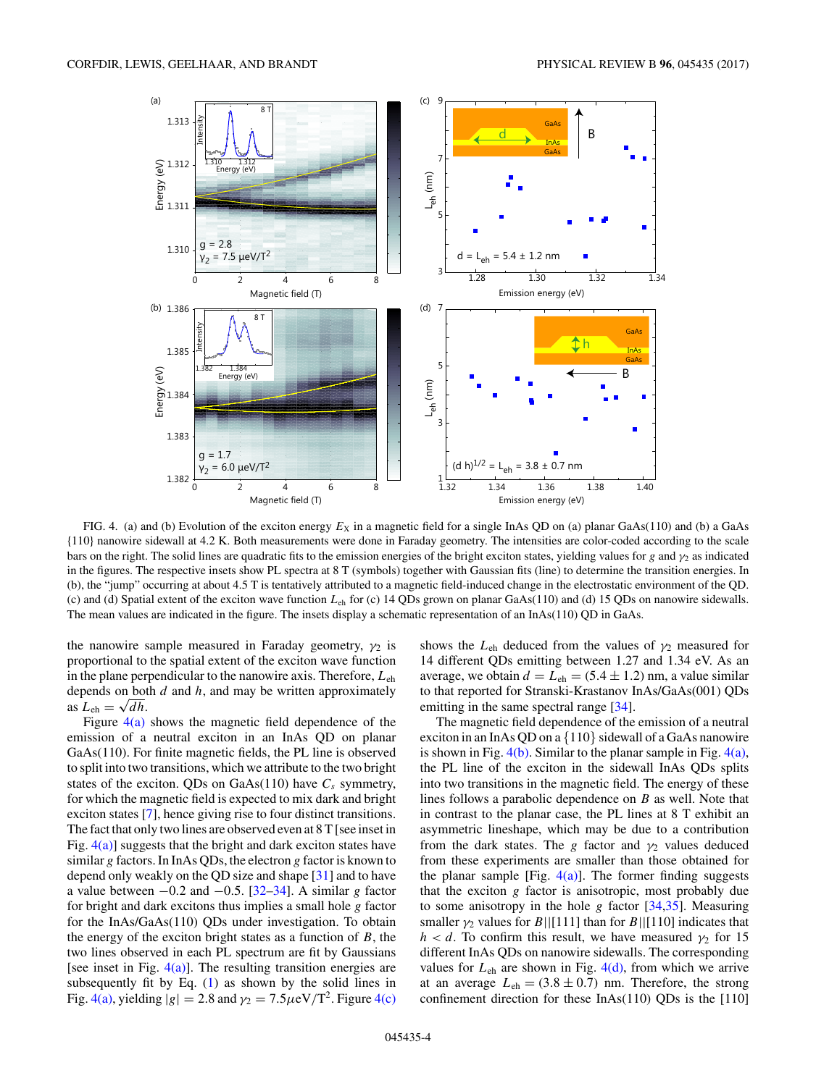<span id="page-3-0"></span>

FIG. 4. (a) and (b) Evolution of the exciton energy  $E_X$  in a magnetic field for a single InAs QD on (a) planar GaAs(110) and (b) a GaAs {110} nanowire sidewall at 4.2 K. Both measurements were done in Faraday geometry. The intensities are color-coded according to the scale bars on the right. The solid lines are quadratic fits to the emission energies of the bright exciton states, yielding values for *g* and *γ*<sup>2</sup> as indicated in the figures. The respective insets show PL spectra at 8 T (symbols) together with Gaussian fits (line) to determine the transition energies. In (b), the "jump" occurring at about 4.5 T is tentatively attributed to a magnetic field-induced change in the electrostatic environment of the QD. (c) and (d) Spatial extent of the exciton wave function *L*eh for (c) 14 QDs grown on planar GaAs(110) and (d) 15 QDs on nanowire sidewalls. The mean values are indicated in the figure. The insets display a schematic representation of an InAs(110) QD in GaAs.

the nanowire sample measured in Faraday geometry,  $\gamma_2$  is proportional to the spatial extent of the exciton wave function in the plane perpendicular to the nanowire axis. Therefore, *L*eh depends on both *d* and *h*, and may be written approximately as  $L_{eh} = \sqrt{dh}$ .

Figure  $4(a)$  shows the magnetic field dependence of the emission of a neutral exciton in an InAs QD on planar GaAs(110). For finite magnetic fields, the PL line is observed to split into two transitions, which we attribute to the two bright states of the exciton. QDs on GaAs(110) have  $C_s$  symmetry, for which the magnetic field is expected to mix dark and bright exciton states [\[7\]](#page-5-0), hence giving rise to four distinct transitions. The fact that only two lines are observed even at 8 T [see inset in Fig.  $4(a)$ ] suggests that the bright and dark exciton states have similar *g* factors. In InAs QDs, the electron *g* factor is known to depend only weakly on the QD size and shape [\[31\]](#page-6-0) and to have a value between −0*.*2 and −0*.*5. [\[32–34\]](#page-6-0). A similar *g* factor for bright and dark excitons thus implies a small hole *g* factor for the InAs/GaAs(110) QDs under investigation. To obtain the energy of the exciton bright states as a function of *B*, the two lines observed in each PL spectrum are fit by Gaussians [see inset in Fig.  $4(a)$ ]. The resulting transition energies are subsequently fit by Eq. [\(1\)](#page-2-0) as shown by the solid lines in Fig. 4(a), yielding  $|g| = 2.8$  and  $\gamma_2 = 7.5 \mu\text{eV}/T^2$ . Figure 4(c)

shows the  $L_{eh}$  deduced from the values of  $\gamma_2$  measured for 14 different QDs emitting between 1.27 and 1.34 eV. As an average, we obtain  $d = L_{eh} = (5.4 \pm 1.2)$  nm, a value similar to that reported for Stranski-Krastanov InAs/GaAs(001) QDs emitting in the same spectral range [\[34\]](#page-6-0).

The magnetic field dependence of the emission of a neutral exciton in an InAs QD on a {110} sidewall of a GaAs nanowire is shown in Fig. 4(b). Similar to the planar sample in Fig. 4(a), the PL line of the exciton in the sidewall InAs QDs splits into two transitions in the magnetic field. The energy of these lines follows a parabolic dependence on *B* as well. Note that in contrast to the planar case, the PL lines at 8 T exhibit an asymmetric lineshape, which may be due to a contribution from the dark states. The *g* factor and  $\gamma_2$  values deduced from these experiments are smaller than those obtained for the planar sample [Fig.  $4(a)$ ]. The former finding suggests that the exciton *g* factor is anisotropic, most probably due to some anisotropy in the hole *g* factor [\[34,35\]](#page-6-0). Measuring smaller  $\gamma_2$  values for *B*||[111] than for *B*||[110] indicates that *h* < *d*. To confirm this result, we have measured  $\gamma_2$  for 15 different InAs QDs on nanowire sidewalls. The corresponding values for  $L_{eh}$  are shown in Fig.  $4(d)$ , from which we arrive at an average  $L_{eh} = (3.8 \pm 0.7)$  nm. Therefore, the strong confinement direction for these InAs(110) QDs is the [110]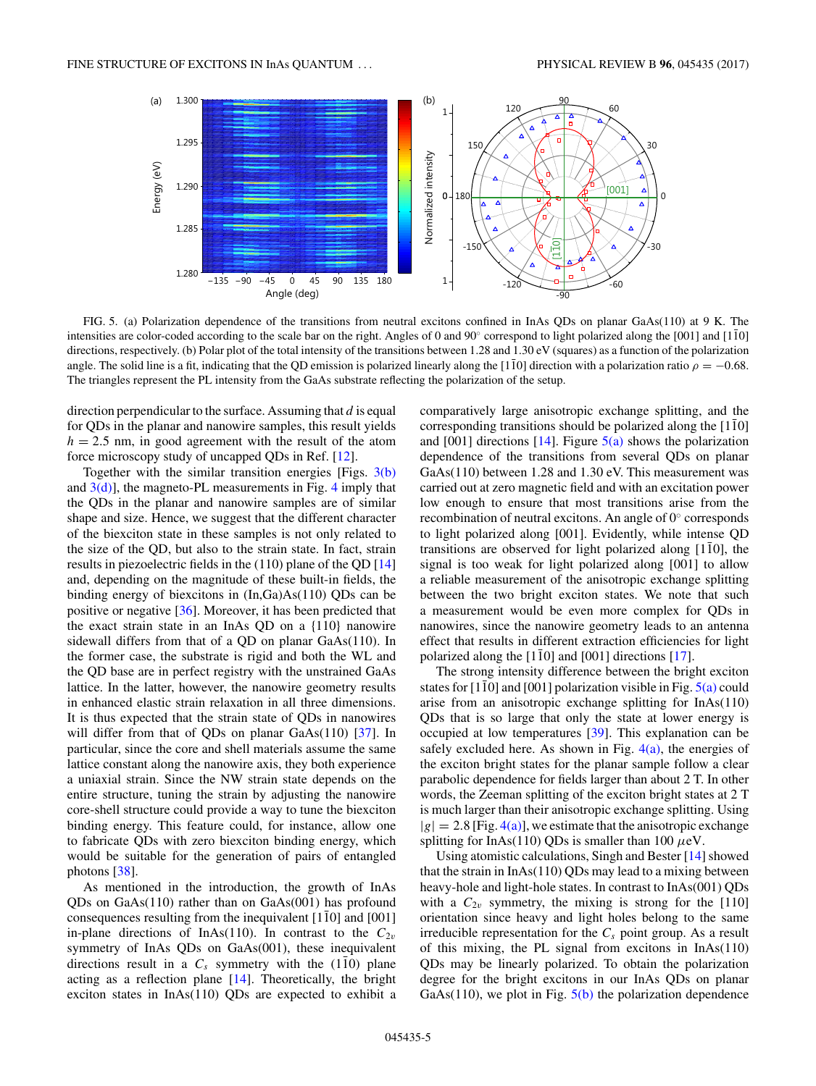<span id="page-4-0"></span>

FIG. 5. (a) Polarization dependence of the transitions from neutral excitons confined in InAs QDs on planar GaAs(110) at 9 K. The intensities are color-coded according to the scale bar on the right. Angles of 0 and  $90^\circ$  correspond to light polarized along the [001] and [110] directions, respectively. (b) Polar plot of the total intensity of the transitions between 1.28 and 1.30 eV (squares) as a function of the polarization angle. The solid line is a fit, indicating that the QD emission is polarized linearly along the [110] direction with a polarization ratio  $\rho = -0.68$ . The triangles represent the PL intensity from the GaAs substrate reflecting the polarization of the setup.

direction perpendicular to the surface. Assuming that *d* is equal for QDs in the planar and nanowire samples, this result yields  $h = 2.5$  nm, in good agreement with the result of the atom force microscopy study of uncapped QDs in Ref. [\[12\]](#page-5-0).

Together with the similar transition energies [Figs. [3\(b\)](#page-2-0) and  $3(d)$ ], the magneto-PL measurements in Fig. [4](#page-3-0) imply that the QDs in the planar and nanowire samples are of similar shape and size. Hence, we suggest that the different character of the biexciton state in these samples is not only related to the size of the QD, but also to the strain state. In fact, strain results in piezoelectric fields in the (110) plane of the QD [\[14\]](#page-5-0) and, depending on the magnitude of these built-in fields, the binding energy of biexcitons in (In,Ga)As(110) QDs can be positive or negative [\[36\]](#page-6-0). Moreover, it has been predicted that the exact strain state in an InAs QD on a {110} nanowire sidewall differs from that of a QD on planar GaAs(110). In the former case, the substrate is rigid and both the WL and the QD base are in perfect registry with the unstrained GaAs lattice. In the latter, however, the nanowire geometry results in enhanced elastic strain relaxation in all three dimensions. It is thus expected that the strain state of QDs in nanowires will differ from that of QDs on planar GaAs(110) [\[37\]](#page-6-0). In particular, since the core and shell materials assume the same lattice constant along the nanowire axis, they both experience a uniaxial strain. Since the NW strain state depends on the entire structure, tuning the strain by adjusting the nanowire core-shell structure could provide a way to tune the biexciton binding energy. This feature could, for instance, allow one to fabricate QDs with zero biexciton binding energy, which would be suitable for the generation of pairs of entangled photons [\[38\]](#page-6-0).

As mentioned in the introduction, the growth of InAs QDs on GaAs(110) rather than on GaAs(001) has profound consequences resulting from the inequivalent  $[110]$  and  $[001]$ in-plane directions of InAs(110). In contrast to the  $C_{2v}$ symmetry of InAs QDs on GaAs(001), these inequivalent directions result in a  $C_s$  symmetry with the (110) plane acting as a reflection plane [\[14\]](#page-5-0). Theoretically, the bright exciton states in InAs(110) QDs are expected to exhibit a comparatively large anisotropic exchange splitting, and the corresponding transitions should be polarized along the [110] and  $[001]$  directions  $[14]$ . Figure  $5(a)$  shows the polarization dependence of the transitions from several QDs on planar GaAs(110) between 1.28 and 1.30 eV. This measurement was carried out at zero magnetic field and with an excitation power low enough to ensure that most transitions arise from the recombination of neutral excitons. An angle of 0◦ corresponds to light polarized along [001]. Evidently, while intense QD transitions are observed for light polarized along  $[1\bar{1}0]$ , the signal is too weak for light polarized along [001] to allow a reliable measurement of the anisotropic exchange splitting between the two bright exciton states. We note that such a measurement would be even more complex for QDs in nanowires, since the nanowire geometry leads to an antenna effect that results in different extraction efficiencies for light polarized along the  $[1\bar{1}0]$  and  $[001]$  directions  $[17]$  $[17]$ .

The strong intensity difference between the bright exciton states for [110] and [001] polarization visible in Fig.  $5(a)$  could arise from an anisotropic exchange splitting for InAs(110) QDs that is so large that only the state at lower energy is occupied at low temperatures [\[39\]](#page-6-0). This explanation can be safely excluded here. As shown in Fig.  $4(a)$ , the energies of the exciton bright states for the planar sample follow a clear parabolic dependence for fields larger than about 2 T. In other words, the Zeeman splitting of the exciton bright states at 2 T is much larger than their anisotropic exchange splitting. Using  $|g| = 2.8$  [Fig. [4\(a\)\]](#page-3-0), we estimate that the anisotropic exchange splitting for InAs(110) QDs is smaller than 100 *μ*eV.

Using atomistic calculations, Singh and Bester [\[14\]](#page-5-0) showed that the strain in InAs(110) QDs may lead to a mixing between heavy-hole and light-hole states. In contrast to InAs(001) QDs with a  $C_{2v}$  symmetry, the mixing is strong for the [110] orientation since heavy and light holes belong to the same irreducible representation for the  $C_s$  point group. As a result of this mixing, the PL signal from excitons in InAs(110) QDs may be linearly polarized. To obtain the polarization degree for the bright excitons in our InAs QDs on planar GaAs(110), we plot in Fig.  $5(b)$  the polarization dependence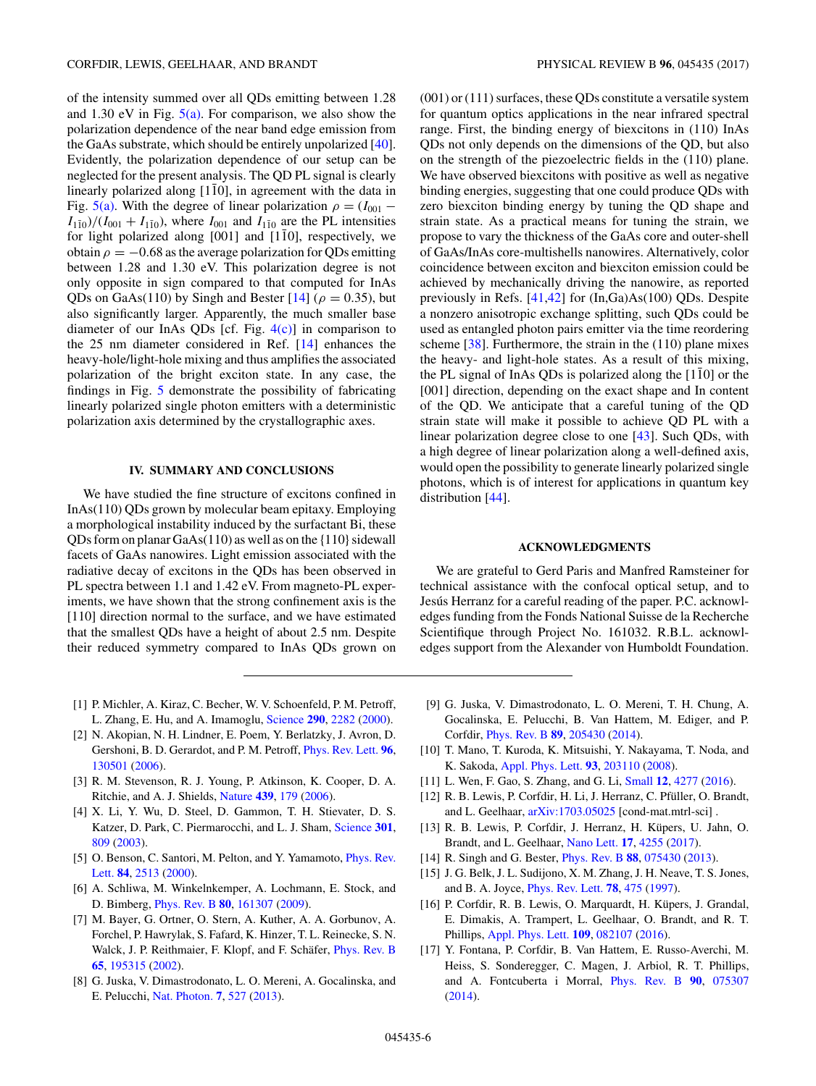<span id="page-5-0"></span>of the intensity summed over all QDs emitting between 1.28 and 1.30 eV in Fig.  $5(a)$ . For comparison, we also show the polarization dependence of the near band edge emission from the GaAs substrate, which should be entirely unpolarized [\[40\]](#page-6-0). Evidently, the polarization dependence of our setup can be neglected for the present analysis. The QD PL signal is clearly linearly polarized along [110], in agreement with the data in Fig. [5\(a\).](#page-4-0) With the degree of linear polarization  $\rho = (I_{001} I_{110}$  $/$ ( $I_{001}$  +  $I_{110}$ ), where  $I_{001}$  and  $I_{110}$  are the PL intensities for light polarized along  $[001]$  and  $[1\overline{1}0]$ , respectively, we obtain  $\rho = -0.68$  as the average polarization for QDs emitting between 1.28 and 1.30 eV. This polarization degree is not only opposite in sign compared to that computed for InAs QDs on GaAs(110) by Singh and Bester  $[14]$  ( $\rho = 0.35$ ), but also significantly larger. Apparently, the much smaller base diameter of our InAs QDs [cf. Fig.  $4(c)$ ] in comparison to the 25 nm diameter considered in Ref. [14] enhances the heavy-hole/light-hole mixing and thus amplifies the associated polarization of the bright exciton state. In any case, the findings in Fig. [5](#page-4-0) demonstrate the possibility of fabricating linearly polarized single photon emitters with a deterministic polarization axis determined by the crystallographic axes.

## **IV. SUMMARY AND CONCLUSIONS**

We have studied the fine structure of excitons confined in InAs(110) QDs grown by molecular beam epitaxy. Employing a morphological instability induced by the surfactant Bi, these QDs form on planar  $GaAs(110)$  as well as on the  $\{110\}$  sidewall facets of GaAs nanowires. Light emission associated with the radiative decay of excitons in the QDs has been observed in PL spectra between 1.1 and 1.42 eV. From magneto-PL experiments, we have shown that the strong confinement axis is the [110] direction normal to the surface, and we have estimated that the smallest QDs have a height of about 2.5 nm. Despite their reduced symmetry compared to InAs QDs grown on

(001) or (111) surfaces, these QDs constitute a versatile system for quantum optics applications in the near infrared spectral range. First, the binding energy of biexcitons in (110) InAs QDs not only depends on the dimensions of the QD, but also on the strength of the piezoelectric fields in the (110) plane. We have observed biexcitons with positive as well as negative binding energies, suggesting that one could produce QDs with zero biexciton binding energy by tuning the QD shape and strain state. As a practical means for tuning the strain, we propose to vary the thickness of the GaAs core and outer-shell of GaAs/InAs core-multishells nanowires. Alternatively, color coincidence between exciton and biexciton emission could be achieved by mechanically driving the nanowire, as reported previously in Refs. [\[41,42\]](#page-6-0) for (In,Ga)As(100) QDs. Despite a nonzero anisotropic exchange splitting, such QDs could be used as entangled photon pairs emitter via the time reordering scheme [\[38\]](#page-6-0). Furthermore, the strain in the (110) plane mixes the heavy- and light-hole states. As a result of this mixing, the PL signal of InAs QDs is polarized along the  $[110]$  or the [001] direction, depending on the exact shape and In content of the QD. We anticipate that a careful tuning of the QD strain state will make it possible to achieve QD PL with a linear polarization degree close to one [\[43\]](#page-6-0). Such QDs, with a high degree of linear polarization along a well-defined axis, would open the possibility to generate linearly polarized single photons, which is of interest for applications in quantum key distribution [\[44\]](#page-6-0).

## **ACKNOWLEDGMENTS**

We are grateful to Gerd Paris and Manfred Ramsteiner for technical assistance with the confocal optical setup, and to Jesús Herranz for a careful reading of the paper. P.C. acknowledges funding from the Fonds National Suisse de la Recherche Scientifique through Project No. 161032. R.B.L. acknowledges support from the Alexander von Humboldt Foundation.

- [1] P. Michler, A. Kiraz, C. Becher, W. V. Schoenfeld, P. M. Petroff, L. Zhang, E. Hu, and A. Imamoglu, [Science](https://doi.org/10.1126/science.290.5500.2282) **[290](https://doi.org/10.1126/science.290.5500.2282)**, [2282](https://doi.org/10.1126/science.290.5500.2282) [\(2000\)](https://doi.org/10.1126/science.290.5500.2282).
- [2] N. Akopian, N. H. Lindner, E. Poem, Y. Berlatzky, J. Avron, D. Gershoni, B. D. Gerardot, and P. M. Petroff, [Phys. Rev. Lett.](https://doi.org/10.1103/PhysRevLett.96.130501) **[96](https://doi.org/10.1103/PhysRevLett.96.130501)**, [130501](https://doi.org/10.1103/PhysRevLett.96.130501) [\(2006\)](https://doi.org/10.1103/PhysRevLett.96.130501).
- [3] R. M. Stevenson, R. J. Young, P. Atkinson, K. Cooper, D. A. Ritchie, and A. J. Shields, [Nature](https://doi.org/10.1038/nature04446) **[439](https://doi.org/10.1038/nature04446)**, [179](https://doi.org/10.1038/nature04446) [\(2006\)](https://doi.org/10.1038/nature04446).
- [4] X. Li, Y. Wu, D. Steel, D. Gammon, T. H. Stievater, D. S. Katzer, D. Park, C. Piermarocchi, and L. J. Sham, [Science](https://doi.org/10.1126/science.1083800) **[301](https://doi.org/10.1126/science.1083800)**, [809](https://doi.org/10.1126/science.1083800) [\(2003\)](https://doi.org/10.1126/science.1083800).
- [5] [O. Benson, C. Santori, M. Pelton, and Y. Yamamoto,](https://doi.org/10.1103/PhysRevLett.84.2513) *Phys. Rev.* Lett. **[84](https://doi.org/10.1103/PhysRevLett.84.2513)**, [2513](https://doi.org/10.1103/PhysRevLett.84.2513) [\(2000\)](https://doi.org/10.1103/PhysRevLett.84.2513).
- [6] A. Schliwa, M. Winkelnkemper, A. Lochmann, E. Stock, and D. Bimberg, [Phys. Rev. B](https://doi.org/10.1103/PhysRevB.80.161307) **[80](https://doi.org/10.1103/PhysRevB.80.161307)**, [161307](https://doi.org/10.1103/PhysRevB.80.161307) [\(2009\)](https://doi.org/10.1103/PhysRevB.80.161307).
- [7] M. Bayer, G. Ortner, O. Stern, A. Kuther, A. A. Gorbunov, A. Forchel, P. Hawrylak, S. Fafard, K. Hinzer, T. L. Reinecke, S. N. Walck, J. P. Reithmaier, F. Klopf, and F. Schäfer, [Phys. Rev. B](https://doi.org/10.1103/PhysRevB.65.195315) **[65](https://doi.org/10.1103/PhysRevB.65.195315)**, [195315](https://doi.org/10.1103/PhysRevB.65.195315) [\(2002\)](https://doi.org/10.1103/PhysRevB.65.195315).
- [8] G. Juska, V. Dimastrodonato, L. O. Mereni, A. Gocalinska, and E. Pelucchi, [Nat. Photon.](https://doi.org/10.1038/nphoton.2013.128) **[7](https://doi.org/10.1038/nphoton.2013.128)**, [527](https://doi.org/10.1038/nphoton.2013.128) [\(2013\)](https://doi.org/10.1038/nphoton.2013.128).
- [9] G. Juska, V. Dimastrodonato, L. O. Mereni, T. H. Chung, A. Gocalinska, E. Pelucchi, B. Van Hattem, M. Ediger, and P. Corfdir, [Phys. Rev. B](https://doi.org/10.1103/PhysRevB.89.205430) **[89](https://doi.org/10.1103/PhysRevB.89.205430)**, [205430](https://doi.org/10.1103/PhysRevB.89.205430) [\(2014\)](https://doi.org/10.1103/PhysRevB.89.205430).
- [10] T. Mano, T. Kuroda, K. Mitsuishi, Y. Nakayama, T. Noda, and K. Sakoda, [Appl. Phys. Lett.](https://doi.org/10.1063/1.3026174) **[93](https://doi.org/10.1063/1.3026174)**, [203110](https://doi.org/10.1063/1.3026174) [\(2008\)](https://doi.org/10.1063/1.3026174).
- [11] L. Wen, F. Gao, S. Zhang, and G. Li, [Small](https://doi.org/10.1002/smll.201503387) **[12](https://doi.org/10.1002/smll.201503387)**, [4277](https://doi.org/10.1002/smll.201503387) [\(2016\)](https://doi.org/10.1002/smll.201503387).
- [12] R. B. Lewis, P. Corfdir, H. Li, J. Herranz, C. Pfüller, O. Brandt, and L. Geelhaar, [arXiv:1703.05025](http://arxiv.org/abs/arXiv:1703.05025) [cond-mat.mtrl-sci] .
- [13] R. B. Lewis, P. Corfdir, J. Herranz, H. Küpers, U. Jahn, O. Brandt, and L. Geelhaar, [Nano Lett.](https://doi.org/10.1021/acs.nanolett.7b01185) **[17](https://doi.org/10.1021/acs.nanolett.7b01185)**, [4255](https://doi.org/10.1021/acs.nanolett.7b01185) [\(2017\)](https://doi.org/10.1021/acs.nanolett.7b01185).
- [14] R. Singh and G. Bester, [Phys. Rev. B](https://doi.org/10.1103/PhysRevB.88.075430) **[88](https://doi.org/10.1103/PhysRevB.88.075430)**, [075430](https://doi.org/10.1103/PhysRevB.88.075430) [\(2013\)](https://doi.org/10.1103/PhysRevB.88.075430).
- [15] J. G. Belk, J. L. Sudijono, X. M. Zhang, J. H. Neave, T. S. Jones, and B. A. Joyce, [Phys. Rev. Lett.](https://doi.org/10.1103/PhysRevLett.78.475) **[78](https://doi.org/10.1103/PhysRevLett.78.475)**, [475](https://doi.org/10.1103/PhysRevLett.78.475) [\(1997\)](https://doi.org/10.1103/PhysRevLett.78.475).
- [16] P. Corfdir, R. B. Lewis, O. Marquardt, H. Küpers, J. Grandal, E. Dimakis, A. Trampert, L. Geelhaar, O. Brandt, and R. T. Phillips, [Appl. Phys. Lett.](https://doi.org/10.1063/1.4961245) **[109](https://doi.org/10.1063/1.4961245)**, [082107](https://doi.org/10.1063/1.4961245) [\(2016\)](https://doi.org/10.1063/1.4961245).
- [17] Y. Fontana, P. Corfdir, B. Van Hattem, E. Russo-Averchi, M. Heiss, S. Sonderegger, C. Magen, J. Arbiol, R. T. Phillips, and A. Fontcuberta i Morral, [Phys. Rev. B](https://doi.org/10.1103/PhysRevB.90.075307) **[90](https://doi.org/10.1103/PhysRevB.90.075307)**, [075307](https://doi.org/10.1103/PhysRevB.90.075307) [\(2014\)](https://doi.org/10.1103/PhysRevB.90.075307).